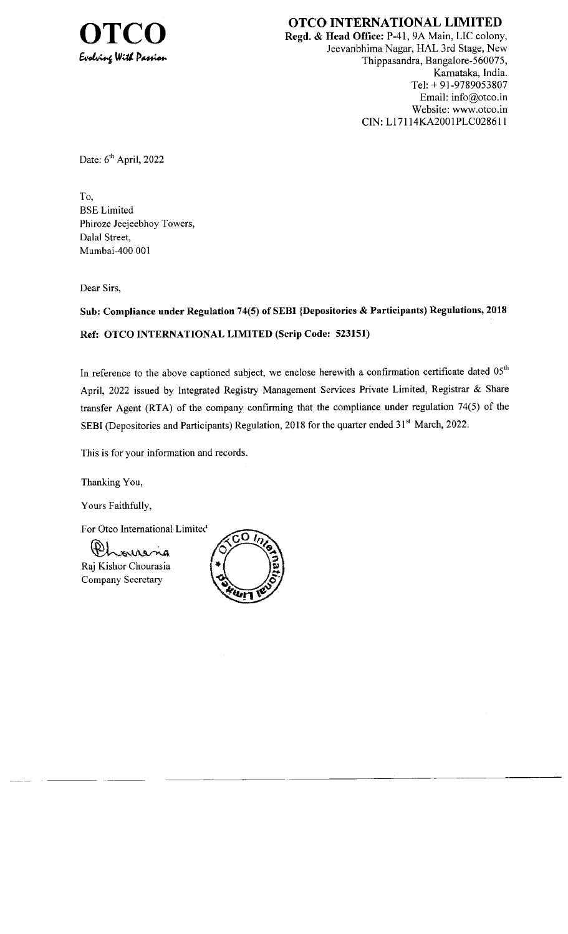

OTCO INTERNATIONAL LIMITED Regd. & Head Office: P-41, 9A Main, LIC colony, Jeevanbhima Nagar, HAL 3rd Stage, New Thippasandra, Bangalore-560075, Karnataka, India. Tel: + 9l-9789053807 Email: info@otco.in Website: www.otco.in CIN: Ll 71 14KA2001PLC0286 I I

Date:  $6<sup>th</sup>$  April, 2022

To, BSE Limited Phiroze Jeejeebhoy Towers, Dalal Street, Mumbai-400 001

Dear Sirs,

Sub: Compliance under Regulation 74(5) of SEBI {Depositories & Participants) Regulations, 2018 Ref: OTCO INTERNATIONAL LIMITED (Scrip Code: 523151)

In reference to the above captioned subject, we enclose herewith a confirmation certificate dated  $0.5<sup>th</sup>$ April,2022 issued by Integrated Registry Management Services Private Limited, Registrar & Share transfer Agent (RTA) of the company confirming that the compliance under regulation 74(5) of the SEBI (Depositories and Participants) Regulation, 2018 for the quarter ended 31<sup>st</sup> March, 2022.

This is for your information and records

Thanking You,

Yours Faithfully,

For Otco International Limited

ourena Raj Kishor Chourasia Company Secretary